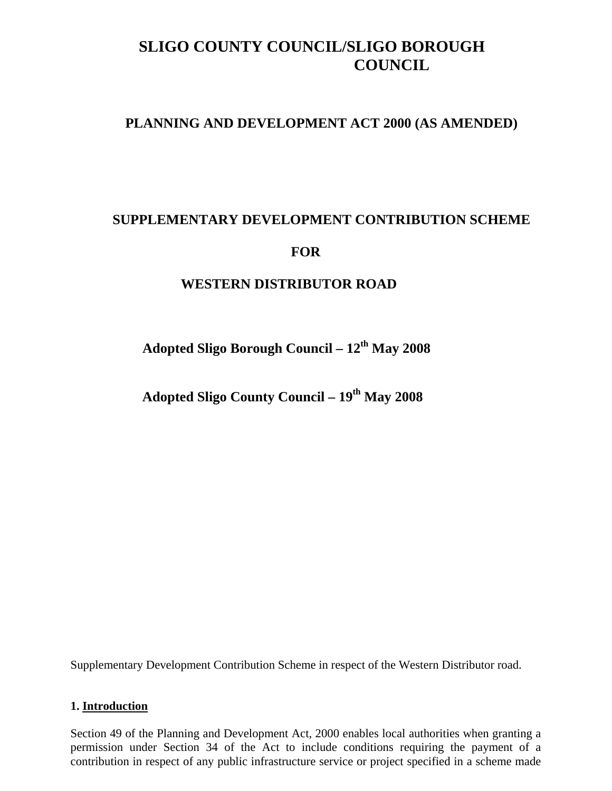# **SLIGO COUNTY COUNCIL/SLIGO BOROUGH COUNCIL**

# **PLANNING AND DEVELOPMENT ACT 2000 (AS AMENDED)**

# **SUPPLEMENTARY DEVELOPMENT CONTRIBUTION SCHEME**

# **FOR**

# **WESTERN DISTRIBUTOR ROAD**

Adopted Sligo Borough Council –  $12<sup>th</sup>$  May 2008

**Adopted Sligo County Council – 19th May 2008** 

Supplementary Development Contribution Scheme in respect of the Western Distributor road.

#### **1. Introduction**

Section 49 of the Planning and Development Act, 2000 enables local authorities when granting a permission under Section 34 of the Act to include conditions requiring the payment of a contribution in respect of any public infrastructure service or project specified in a scheme made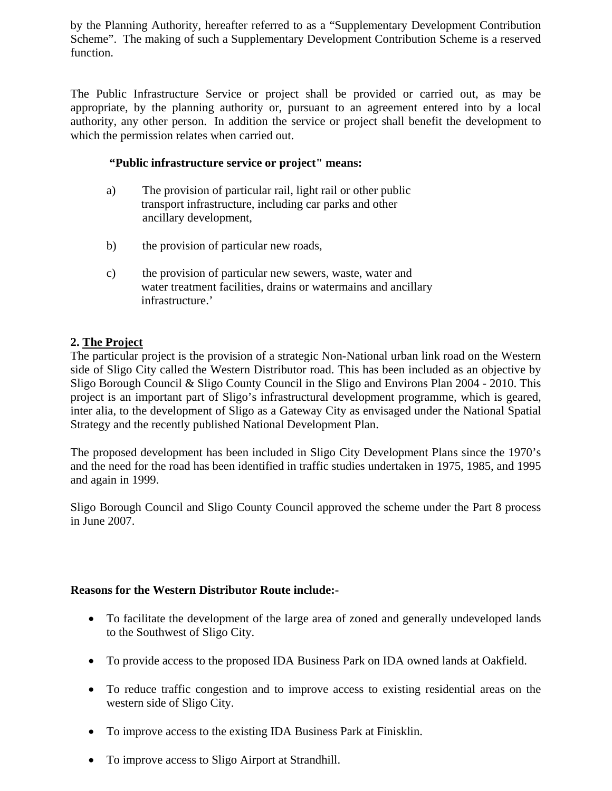by the Planning Authority, hereafter referred to as a "Supplementary Development Contribution Scheme". The making of such a Supplementary Development Contribution Scheme is a reserved function.

The Public Infrastructure Service or project shall be provided or carried out, as may be appropriate, by the planning authority or, pursuant to an agreement entered into by a local authority, any other person. In addition the service or project shall benefit the development to which the permission relates when carried out.

### **"Public infrastructure service or project" means:**

- a) The provision of particular rail, light rail or other public transport infrastructure, including car parks and other ancillary development,
- b) the provision of particular new roads,
- c) the provision of particular new sewers, waste, water and water treatment facilities, drains or watermains and ancillary infrastructure.'

# **2. The Project**

The particular project is the provision of a strategic Non-National urban link road on the Western side of Sligo City called the Western Distributor road. This has been included as an objective by Sligo Borough Council & Sligo County Council in the Sligo and Environs Plan 2004 - 2010. This project is an important part of Sligo's infrastructural development programme, which is geared, inter alia, to the development of Sligo as a Gateway City as envisaged under the National Spatial Strategy and the recently published National Development Plan.

The proposed development has been included in Sligo City Development Plans since the 1970's and the need for the road has been identified in traffic studies undertaken in 1975, 1985, and 1995 and again in 1999.

Sligo Borough Council and Sligo County Council approved the scheme under the Part 8 process in June 2007.

# **Reasons for the Western Distributor Route include:-**

- To facilitate the development of the large area of zoned and generally undeveloped lands to the Southwest of Sligo City.
- To provide access to the proposed IDA Business Park on IDA owned lands at Oakfield.
- To reduce traffic congestion and to improve access to existing residential areas on the western side of Sligo City.
- To improve access to the existing IDA Business Park at Finisklin.
- To improve access to Sligo Airport at Strandhill.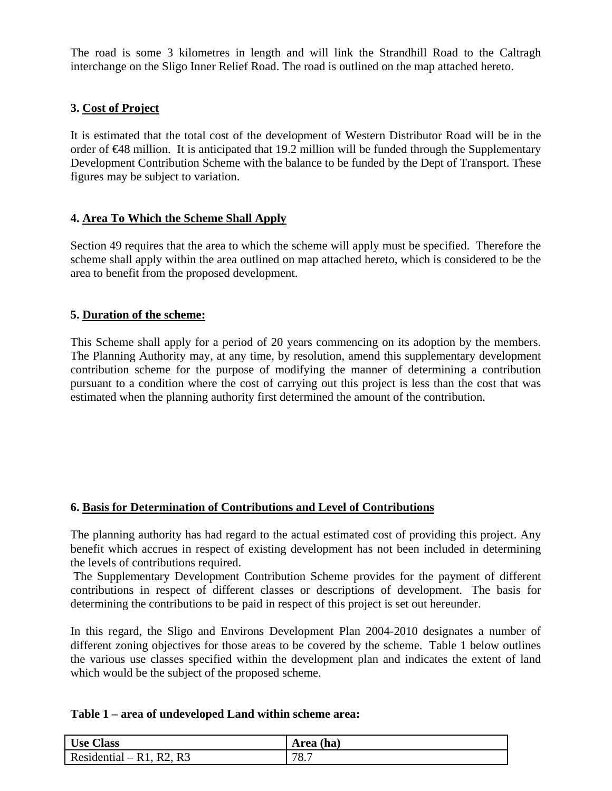The road is some 3 kilometres in length and will link the Strandhill Road to the Caltragh interchange on the Sligo Inner Relief Road. The road is outlined on the map attached hereto.

# **3. Cost of Project**

It is estimated that the total cost of the development of Western Distributor Road will be in the order of €48 million. It is anticipated that 19.2 million will be funded through the Supplementary Development Contribution Scheme with the balance to be funded by the Dept of Transport. These figures may be subject to variation.

# **4. Area To Which the Scheme Shall Apply**

Section 49 requires that the area to which the scheme will apply must be specified. Therefore the scheme shall apply within the area outlined on map attached hereto, which is considered to be the area to benefit from the proposed development.

# **5. Duration of the scheme:**

This Scheme shall apply for a period of 20 years commencing on its adoption by the members. The Planning Authority may, at any time, by resolution, amend this supplementary development contribution scheme for the purpose of modifying the manner of determining a contribution pursuant to a condition where the cost of carrying out this project is less than the cost that was estimated when the planning authority first determined the amount of the contribution.

# **6. Basis for Determination of Contributions and Level of Contributions**

The planning authority has had regard to the actual estimated cost of providing this project. Any benefit which accrues in respect of existing development has not been included in determining the levels of contributions required.

 The Supplementary Development Contribution Scheme provides for the payment of different contributions in respect of different classes or descriptions of development. The basis for determining the contributions to be paid in respect of this project is set out hereunder.

In this regard, the Sligo and Environs Development Plan 2004-2010 designates a number of different zoning objectives for those areas to be covered by the scheme. Table 1 below outlines the various use classes specified within the development plan and indicates the extent of land which would be the subject of the proposed scheme.

| <b>Use Class</b>         | Area (ha) |
|--------------------------|-----------|
| Residential – R1, R2, R3 | 78.7      |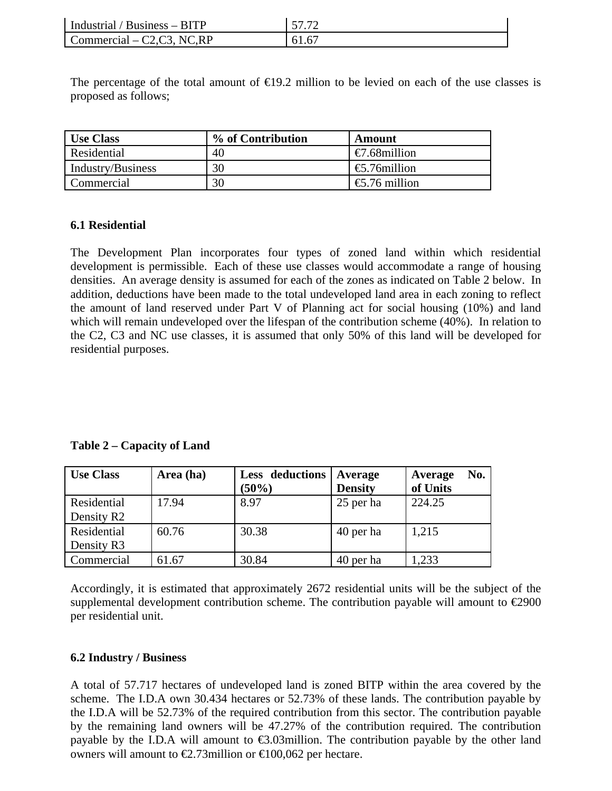| Industrial / Business $-$ BITP | 57.72 |
|--------------------------------|-------|
| Commercial $-$ C2, C3, NC, RP  | 61.67 |

The percentage of the total amount of  $\epsilon$ 19.2 million to be levied on each of the use classes is proposed as follows;

| <b>Use Class</b>  | % of Contribution | Amount                 |
|-------------------|-------------------|------------------------|
| Residential       | 40                | $\epsilon$ .68million  |
| Industry/Business | 30                | $\epsilon$ .76million  |
| Commercial        | 30                | $\epsilon$ .76 million |

#### **6.1 Residential**

The Development Plan incorporates four types of zoned land within which residential development is permissible. Each of these use classes would accommodate a range of housing densities. An average density is assumed for each of the zones as indicated on Table 2 below. In addition, deductions have been made to the total undeveloped land area in each zoning to reflect the amount of land reserved under Part V of Planning act for social housing (10%) and land which will remain undeveloped over the lifespan of the contribution scheme (40%). In relation to the C2, C3 and NC use classes, it is assumed that only 50% of this land will be developed for residential purposes.

**Table 2 – Capacity of Land** 

| <b>Use Class</b>       | Area (ha) | Less deductions<br>(50%) | Average<br><b>Density</b> | No.<br>Average<br>of Units |
|------------------------|-----------|--------------------------|---------------------------|----------------------------|
| Residential            | 17.94     | 8.97                     | 25 per ha                 | 224.25                     |
| Density R <sub>2</sub> |           |                          |                           |                            |
| Residential            | 60.76     | 30.38                    | 40 per ha                 | 1,215                      |
| Density R3             |           |                          |                           |                            |
| Commercial             | 61.67     | 30.84                    | 40 per ha                 | 1,233                      |

Accordingly, it is estimated that approximately 2672 residential units will be the subject of the supplemental development contribution scheme. The contribution payable will amount to  $\epsilon$ 2900 per residential unit.

#### **6.2 Industry / Business**

A total of 57.717 hectares of undeveloped land is zoned BITP within the area covered by the scheme. The I.D.A own 30.434 hectares or 52.73% of these lands. The contribution payable by the I.D.A will be 52.73% of the required contribution from this sector. The contribution payable by the remaining land owners will be 47.27% of the contribution required. The contribution payable by the I.D.A will amount to €3.03million. The contribution payable by the other land owners will amount to  $\epsilon$ 2.73million or  $\epsilon$ 100,062 per hectare.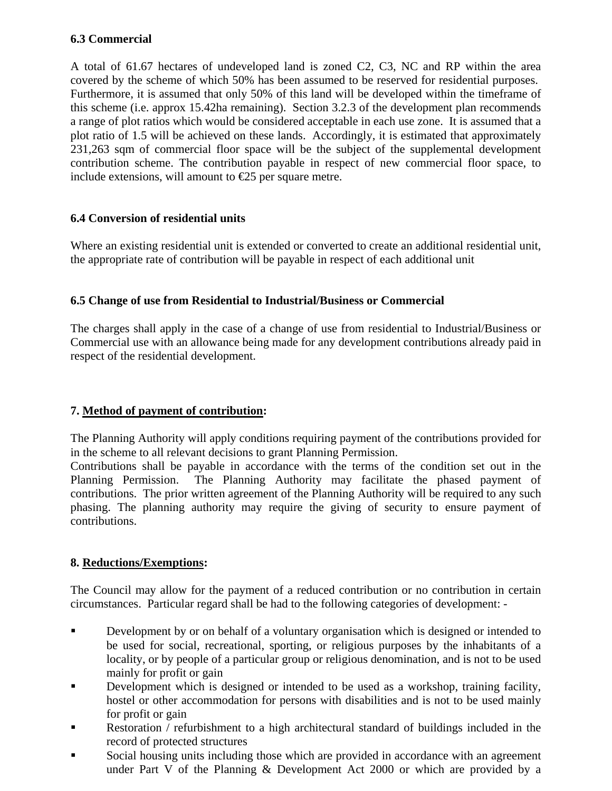# **6.3 Commercial**

A total of 61.67 hectares of undeveloped land is zoned C2, C3, NC and RP within the area covered by the scheme of which 50% has been assumed to be reserved for residential purposes. Furthermore, it is assumed that only 50% of this land will be developed within the timeframe of this scheme (i.e. approx 15.42ha remaining). Section 3.2.3 of the development plan recommends a range of plot ratios which would be considered acceptable in each use zone. It is assumed that a plot ratio of 1.5 will be achieved on these lands. Accordingly, it is estimated that approximately 231,263 sqm of commercial floor space will be the subject of the supplemental development contribution scheme. The contribution payable in respect of new commercial floor space, to include extensions, will amount to  $E$ 5 per square metre.

# **6.4 Conversion of residential units**

Where an existing residential unit is extended or converted to create an additional residential unit, the appropriate rate of contribution will be payable in respect of each additional unit

# **6.5 Change of use from Residential to Industrial/Business or Commercial**

The charges shall apply in the case of a change of use from residential to Industrial/Business or Commercial use with an allowance being made for any development contributions already paid in respect of the residential development.

# **7. Method of payment of contribution:**

The Planning Authority will apply conditions requiring payment of the contributions provided for in the scheme to all relevant decisions to grant Planning Permission.

Contributions shall be payable in accordance with the terms of the condition set out in the Planning Permission. The Planning Authority may facilitate the phased payment of contributions. The prior written agreement of the Planning Authority will be required to any such phasing. The planning authority may require the giving of security to ensure payment of contributions.

# **8. Reductions/Exemptions:**

The Council may allow for the payment of a reduced contribution or no contribution in certain circumstances. Particular regard shall be had to the following categories of development: -

- **Development by or on behalf of a voluntary organisation which is designed or intended to** be used for social, recreational, sporting, or religious purposes by the inhabitants of a locality, or by people of a particular group or religious denomination, and is not to be used mainly for profit or gain
- Development which is designed or intended to be used as a workshop, training facility, hostel or other accommodation for persons with disabilities and is not to be used mainly for profit or gain
- Restoration / refurbishment to a high architectural standard of buildings included in the record of protected structures
- Social housing units including those which are provided in accordance with an agreement under Part V of the Planning & Development Act 2000 or which are provided by a